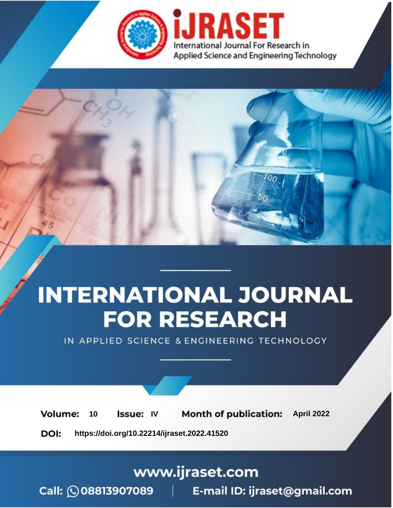

# **INTERNATIONAL JOURNAL FOR RESEARCH**

IN APPLIED SCIENCE & ENGINEERING TECHNOLOGY

10 **Issue: IV Month of publication:** April 2022 **Volume:** 

**https://doi.org/10.22214/ijraset.2022.41520**DOI:

www.ijraset.com

Call: 008813907089 | E-mail ID: ijraset@gmail.com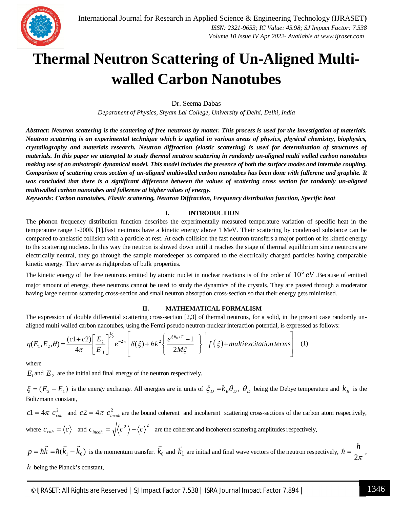

### **Thermal Neutron Scattering of Un-Aligned Multiwalled Carbon Nanotubes**

Dr. Seema Dabas

*Department of Physics, Shyam Lal College, University of Delhi, Delhi, India*

*Abstract: Neutron scattering is the scattering of free neutrons by matter. This process is used for the investigation of materials. Neutron scattering is an experimental technique which is applied in various areas of physics, physical chemistry, biophysics, crystallography and materials research. Neutron diffraction (elastic scattering) is used for determination of structures of materials. In this paper we attempted to study thermal neutron scattering in randomly un-aligned multi walled carbon nanotubes making use of an anisotropic dynamical model. This model includes the presence of both the surface modes and intertube coupling. Comparison of scattering cross section of un-aligned multiwalled carbon nanotubes has been done with fullerene and graphite. It was concluded that there is a significant difference between the values of scattering cross section for randomly un-aligned multiwalled carbon nanotubes and fullerene at higher values of energy.*

*Keywords: Carbon nanotubes, Elastic scattering, Neutron Diffraction, Frequency distribution function, Specific heat*

#### **I. INTRODUCTION**

The phonon frequency distribution function describes the experimentally measured temperature variation of specific heat in the temperature range 1-200K [1].Fast neutrons have a kinetic energy above 1 MeV. Their scattering by condensed substance can be compared to anelastic collision with a particle at rest. At each collision the fast neutron transfers a major portion of its kinetic energy to the scattering nucleus. In this way the neutron is slowed down until it reaches the stage of thermal equilibrium since neutrons are electrically neutral, they go through the sample moredeeper as compared to the electrically charged particles having comparable kinetic energy. They serve as rightprobes of bulk properties.

The kinetic energy of the free neutrons emitted by atomic nuclei in nuclear reactions is of the order of  $10^6$  eV. Because of emitted major amount of energy, these neutrons cannot be used to study the dynamics of the crystals. They are passed through a moderator having large neutron scattering cross-section and small neutron absorption cross-section so that their energy gets minimised.

#### **II. MATHEMATICAL FORMALISM**

The expression of double differential scattering cross-section [2,3] of thermal neutrons, for a solid, in the present case randomly unaligned multi walled carbon nanotubes, using the Fermi pseudo neutron-nuclear interaction potential, is expressed as follows:

$$
\eta(E_1, E_2, \theta) = \frac{(c1+c2)}{4\pi} \left[ \frac{E_2}{E_1} \right]^{\frac{1}{2}} e^{-2w} \left[ \delta(\xi) + \hbar k^2 \left\{ \frac{e^{\xi \theta_D/T} - 1}{2M\xi} \right\}^{-1} f(\xi) + \text{multiexcitation terms} \right] \tag{1}
$$

where

 $E_1$  and  $E_2$  are the initial and final energy of the neutron respectively.

 $\xi = (E_2 - E_1)$  is the energy exchange. All energies are in units of  $\xi_D = k_B \theta_D$ ,  $\theta_D$  being the Debye temperature and  $k_B$  is the Boltzmann constant,

 $c_1 = 4\pi c_{coh}^2$  and  $c_2 = 4\pi c_{incoh}^2$  are the bound coherent and incoherent scattering cross-sections of the carbon atom respectively, where  $c_{coh} = \langle c \rangle$  and  $c_{incoh} = \sqrt{\langle c^2 \rangle - \langle c \rangle^2}$  are the coherent and incoherent scattering amplitudes respectively,

 $p = \hbar k = \hbar (k_1 - k_0)$  $\rightarrow$  $\hbar$  $\rightarrow$  $\hat{\tau} = \hbar k = \hbar (k_1 - k_0)$  is the momentum transfer.  $k_0$  $\rightarrow$ and  $k_1$  $\rightarrow$ are initial and final wave vectors of the neutron respectively,  $\hbar = \frac{1}{2\pi}$  $\hbar = \frac{h}{2}$ , *h* being the Planck's constant,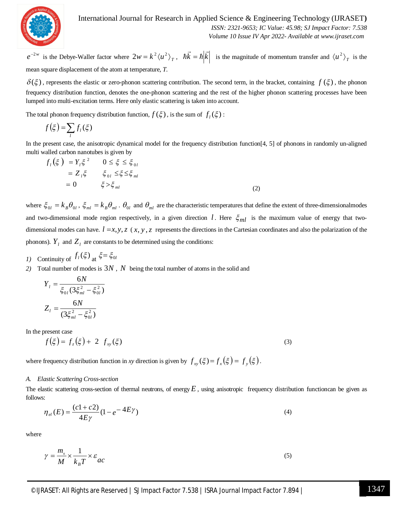

#### International Journal for Research in Applied Science & Engineering Technology (IJRASET**)**

 *ISSN: 2321-9653; IC Value: 45.98; SJ Impact Factor: 7.538 Volume 10 Issue IV Apr 2022- Available at www.ijraset.com*

 $e^{-2w}$ is the Debye-Waller factor where  $2w = k^2 \langle u^2 \rangle_T$ ,  $\hbar \vec{k} = \hbar |\vec{k}|$  $\rightarrow$  $\hbar$  $\rightarrow$  $\hbar \vec{k} = \hbar |\vec{k}|$  is the magnitude of momentum transfer and  $\langle u^2 \rangle_T$  is the mean square displacement of the atom at temperature, *T*.

 $\delta(\xi)$ , represents the elastic or zero-phonon scattering contribution. The second term, in the bracket, containing  $f(\xi)$ , the phonon frequency distribution function, denotes the one-phonon scattering and the rest of the higher phonon scattering processes have been lumped into multi-excitation terms. Here only elastic scattering is taken into account.

The total phonon frequency distribution function,  $f(\xi)$ , is the sum of  $f_i(\xi)$ :

$$
f(\xi) = \sum_l f_l(\xi)
$$

In the present case, the anisotropic dynamical model for the frequency distribution function[4, 5] of phonons in randomly un-aligned multi walled carbon nanotubes is given by

$$
f_l(\xi) = Y_l \xi^2 \qquad 0 \le \xi \le \xi_{0l}
$$
  
=  $Z_l \xi \qquad \xi_{0l} \le \xi \le \xi_{ml}$   
= 0 \qquad \xi > \xi\_{ml} (2)

where  $\zeta_{0l} = k_B \theta_{0l}$ ,  $\zeta_{ml} = k_B \theta_{ml}$ .  $\theta_{0l}$  and  $\theta_{ml}$  are the characteristic temperatures that define the extent of three-dimensionalmodes and two-dimensional mode region respectively, in a given direction *l*. Here  $\xi_{ml}$  is the maximum value of energy that twodimensional modes can have.  $l = x, y, z \, (x, y, z)$  represents the directions in the Cartesian coordinates and also the polarization of the phonons).  $Y_l$  and  $Z_l$  are constants to be determined using the conditions:

- *1*) Continuity of  $f_i(\xi)$  at  $\xi = \xi_0$
- *2)* Total number of modes is 3*N* , *N* being the total number of atoms in the solid and

$$
Y_{l} = \frac{6N}{\xi_{0l}(3\xi_{ml}^{2} - \xi_{0l}^{2})}
$$

$$
Z_{l} = \frac{6N}{(3\xi_{ml}^{2} - \xi_{0l}^{2})}
$$

In the present case

$$
f(\xi) = f_z(\xi) + 2 f_{xy}(\xi)
$$
 (3)

where frequency distribution function in *xy* direction is given by  $f_{xy}(\xi) = f_{x}(\xi) = f_{y}(\xi)$ .

#### *A. Elastic Scattering Cross-section*

The elastic scattering cross-section of thermal neutrons, of energy  $E$ , using anisotropic frequency distribution functioncan be given as follows:

$$
\eta_{el}(E) = \frac{(c1 + c2)}{4E\gamma} (1 - e^{-4E\gamma})
$$
\n(4)

where

$$
\gamma = \frac{m_{\rm o}}{M} \times \frac{1}{k_{\rm B}T} \times \varepsilon_{ac} \tag{5}
$$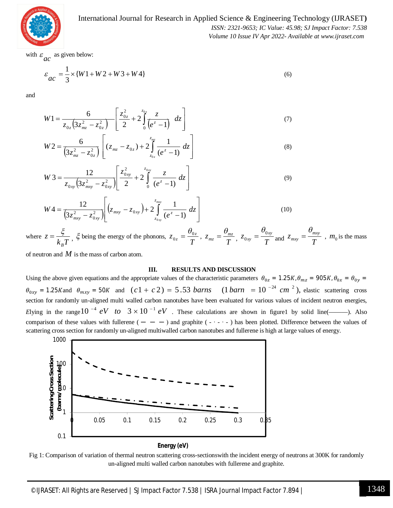

International Journal for Research in Applied Science & Engineering Technology (IJRASET**)**  *ISSN: 2321-9653; IC Value: 45.98; SJ Impact Factor: 7.538*

 *Volume 10 Issue IV Apr 2022- Available at www.ijraset.com*

with  $\varepsilon$ *ac* as given below:

$$
\varepsilon_{ac} = \frac{1}{3} \times \{W1 + W2 + W3 + W4\}
$$
 (6)

and

$$
W1 = \frac{6}{z_{0z}(3z_{mz}^2 - z_{0z}^2)} \left[ \frac{z_{0z}^2}{2} + 2 \int_0^{z_{0z}} \frac{z}{(e^z - 1)} dz \right]
$$
(7)

$$
W2 = \frac{6}{\left(3z_{mz}^2 - z_{0z}^2\right)} \left[ (z_{mz} - z_{0z}) + 2 \int_{z_{0z}}^{z_{mz}} \frac{1}{\left(e^z - 1\right)} \, dz \right] \tag{8}
$$

$$
W3 = \frac{12}{z_{0xy}\left(3z_{mxy}^2 - z_{0xy}^2\right)} \left[\frac{z_{0xy}^2}{2} + 2\int_0^{z_{0xy}} \frac{z}{(e^z - 1)} dz\right]
$$
(9)

$$
W4 = \frac{12}{\left(3z_{mxy}^2 - z_{0xy}^2\right)} \left[ \left(z_{mxy} - z_{0xy}\right) + 2 \int_{z_{0xy}}^{z_{mxy}} \frac{1}{\left(e^z - 1\right)} \, dz \right] \tag{10}
$$

where  $z = \frac{z}{k_B T}$ *z B*  $=\frac{\xi}{h(T)}, \xi$  being the energy of the phonons, *T*  $z_{0z} = \frac{v_{0z}}{T}$  $=\frac{\theta_{0z}}{\pi}$ , *T*  $z_{mz} = \frac{v_{mz}}{T}$  $=\frac{\theta_{mz}}{T},\ z_{0xy}=\frac{\theta_{0xy}}{T}$ *xy* 0 0  $\theta$  $=\frac{U_{0xy}}{T}$  and  $Z_{mxy}=\frac{U_{mxy}}{T}$ *mxy*  $\theta$  $=\frac{mxy}{T}$ ,  $m_0$  is the mass

of neutron and *M* is the mass of carbon atom.

#### **III. RESULTS AND DISCUSSION**

Using the above given equations and the appropriate values of the characteristic parameters  $\theta_{0z} = 1.25K$ ,  $\theta_{mz} = 905K$ ,  $\theta_{0x} = \theta_{0y} =$  $\theta_{0xy}$  = 1.25*K* and  $\theta_{mxy}$  = 50*K* and  $(c1 + c2)$  = 5.53 *barns*  $(1 \text{ barn } = 10^{-24} \text{ cm}^2)$ , elastic scattering cross section for randomly un-aligned multi walled carbon nanotubes have been evaluated for various values of incident neutron energies, *E*lying in the range  $10^{-4}$  eV to  $3 \times 10^{-1}$  eV. These calculations are shown in figure1 by solid line(——). Also comparison of these values with fullerene  $( - - - )$  and graphite  $( - \cdot - )$  has been plotted. Difference between the values of scattering cross section for randomly un-aligned multiwalled carbon nanotubes and fullerene is high at large values of energy.



Fig 1: Comparison of variation of thermal neutron scattering cross-sectionswith the incident energy of neutrons at 300K for randomly un-aligned multi walled carbon nanotubes with fullerene and graphite.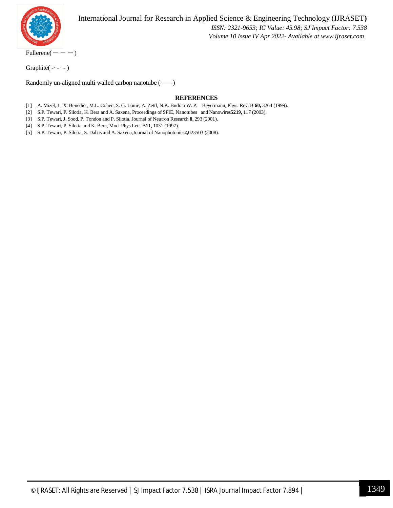

International Journal for Research in Applied Science & Engineering Technology (IJRASET**)**  *ISSN: 2321-9653; IC Value: 45.98; SJ Impact Factor: 7.538 Volume 10 Issue IV Apr 2022- Available at www.ijraset.com*

 $Fullerene(- - -)$ 

Graphite( -∙ - ∙ - )

Randomly un-aligned multi walled carbon nanotube (——)

#### **REFERENCES**

[1] A. Mizel, L. X. Benedict, M.L. Cohen, S. G. Louie, A. Zettl, N.K. Budraa W. P. Beyermann, Phys. Rev. B **60,** 3264 (1999).

[2] S.P. Tewari, P. Silotia, K. Bera and A. Saxena, Proceedings of SPIE, Nanotubes and Nanowires**5219,** 117 (2003).

[3] S.P. Tewari, J. Sood, P. Tondon and P. Silotia, Journal of Neutron Research **8,** 293 (2001).

[4] S.P. Tewari, P. Silotia and K. Bera, Mod. Phys.Lett. B**11,** 1031 (1997).

[5] S.P. Tewari, P. Silotia, S. Dabas and A. Saxena,Journal of Nanophotonics**2,**023503 (2008).